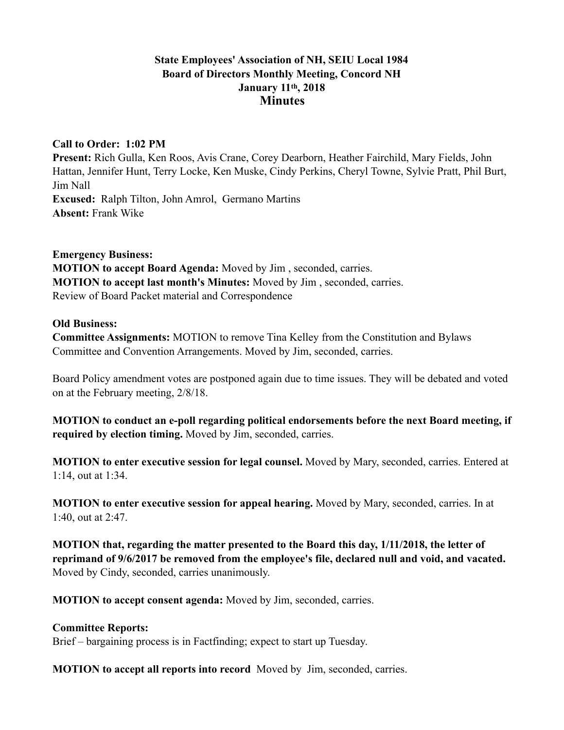# **State Employees' Association of NH, SEIU Local 1984 Board of Directors Monthly Meeting, Concord NH January 11th, 2018 Minutes**

## **Call to Order: 1:02 PM**

**Present:** Rich Gulla, Ken Roos, Avis Crane, Corey Dearborn, Heather Fairchild, Mary Fields, John Hattan, Jennifer Hunt, Terry Locke, Ken Muske, Cindy Perkins, Cheryl Towne, Sylvie Pratt, Phil Burt, Jim Nall **Excused:** Ralph Tilton, John Amrol, Germano Martins **Absent:** Frank Wike

### **Emergency Business:**

**MOTION to accept Board Agenda:** Moved by Jim , seconded, carries. **MOTION to accept last month's Minutes:** Moved by Jim , seconded, carries. Review of Board Packet material and Correspondence

### **Old Business:**

**Committee Assignments:** MOTION to remove Tina Kelley from the Constitution and Bylaws Committee and Convention Arrangements. Moved by Jim, seconded, carries.

Board Policy amendment votes are postponed again due to time issues. They will be debated and voted on at the February meeting, 2/8/18.

**MOTION to conduct an e-poll regarding political endorsements before the next Board meeting, if required by election timing.** Moved by Jim, seconded, carries.

**MOTION to enter executive session for legal counsel.** Moved by Mary, seconded, carries. Entered at 1:14, out at 1:34.

**MOTION to enter executive session for appeal hearing.** Moved by Mary, seconded, carries. In at 1:40, out at 2:47.

**MOTION that, regarding the matter presented to the Board this day, 1/11/2018, the letter of reprimand of 9/6/2017 be removed from the employee's file, declared null and void, and vacated.**  Moved by Cindy, seconded, carries unanimously.

**MOTION to accept consent agenda:** Moved by Jim, seconded, carries.

### **Committee Reports:**

Brief – bargaining process is in Factfinding; expect to start up Tuesday.

**MOTION to accept all reports into record** Moved by Jim, seconded, carries.